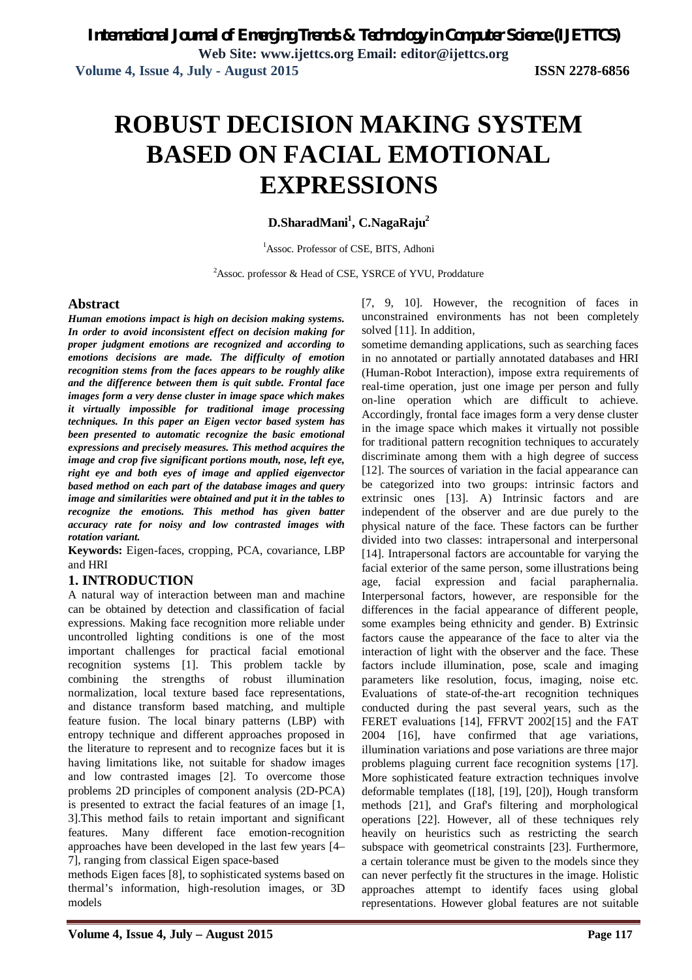# **ROBUST DECISION MAKING SYSTEM BASED ON FACIAL EMOTIONAL EXPRESSIONS**

**D.SharadMani<sup>1</sup> , C.NagaRaju<sup>2</sup>**

<sup>1</sup>Assoc. Professor of CSE, BITS, Adhoni

<sup>2</sup>Assoc. professor & Head of CSE, YSRCE of YVU, Proddature

## **Abstract**

*Human emotions impact is high on decision making systems. In order to avoid inconsistent effect on decision making for proper judgment emotions are recognized and according to emotions decisions are made. The difficulty of emotion recognition stems from the faces appears to be roughly alike and the difference between them is quit subtle. Frontal face images form a very dense cluster in image space which makes it virtually impossible for traditional image processing techniques. In this paper an Eigen vector based system has been presented to automatic recognize the basic emotional expressions and precisely measures. This method acquires the image and crop five significant portions mouth, nose, left eye, right eye and both eyes of image and applied eigenvector based method on each part of the database images and query image and similarities were obtained and put it in the tables to recognize the emotions. This method has given batter accuracy rate for noisy and low contrasted images with rotation variant.* 

**Keywords:** Eigen-faces, cropping, PCA, covariance, LBP and HRI

## **1. INTRODUCTION**

A natural way of interaction between man and machine can be obtained by detection and classification of facial expressions. Making face recognition more reliable under uncontrolled lighting conditions is one of the most important challenges for practical facial emotional recognition systems [1]. This problem tackle by combining the strengths of robust illumination normalization, local texture based face representations, and distance transform based matching, and multiple feature fusion. The local binary patterns (LBP) with entropy technique and different approaches proposed in the literature to represent and to recognize faces but it is having limitations like, not suitable for shadow images and low contrasted images [2]. To overcome those problems 2D principles of component analysis (2D-PCA) is presented to extract the facial features of an image [1, 3].This method fails to retain important and significant features. Many different face emotion-recognition approaches have been developed in the last few years [4– 7], ranging from classical Eigen space-based

methods Eigen faces [8], to sophisticated systems based on thermal's information, high-resolution images, or 3D models

[7, 9, 10]. However, the recognition of faces in unconstrained environments has not been completely solved [11]. In addition,

sometime demanding applications, such as searching faces in no annotated or partially annotated databases and HRI (Human-Robot Interaction), impose extra requirements of real-time operation, just one image per person and fully on-line operation which are difficult to achieve. Accordingly, frontal face images form a very dense cluster in the image space which makes it virtually not possible for traditional pattern recognition techniques to accurately discriminate among them with a high degree of success [12]. The sources of variation in the facial appearance can be categorized into two groups: intrinsic factors and extrinsic ones [13]. A) Intrinsic factors and are independent of the observer and are due purely to the physical nature of the face. These factors can be further divided into two classes: intrapersonal and interpersonal [14]. Intrapersonal factors are accountable for varying the facial exterior of the same person, some illustrations being age, facial expression and facial paraphernalia. Interpersonal factors, however, are responsible for the differences in the facial appearance of different people, some examples being ethnicity and gender. B) Extrinsic factors cause the appearance of the face to alter via the interaction of light with the observer and the face. These factors include illumination, pose, scale and imaging parameters like resolution, focus, imaging, noise etc. Evaluations of state-of-the-art recognition techniques conducted during the past several years, such as the FERET evaluations [14], FFRVT 2002[15] and the FAT 2004 [16], have confirmed that age variations, illumination variations and pose variations are three major problems plaguing current face recognition systems [17]. More sophisticated feature extraction techniques involve deformable templates ([18], [19], [20]), Hough transform methods [21], and Graf's filtering and morphological operations [22]. However, all of these techniques rely heavily on heuristics such as restricting the search subspace with geometrical constraints [23]. Furthermore, a certain tolerance must be given to the models since they can never perfectly fit the structures in the image. Holistic approaches attempt to identify faces using global representations. However global features are not suitable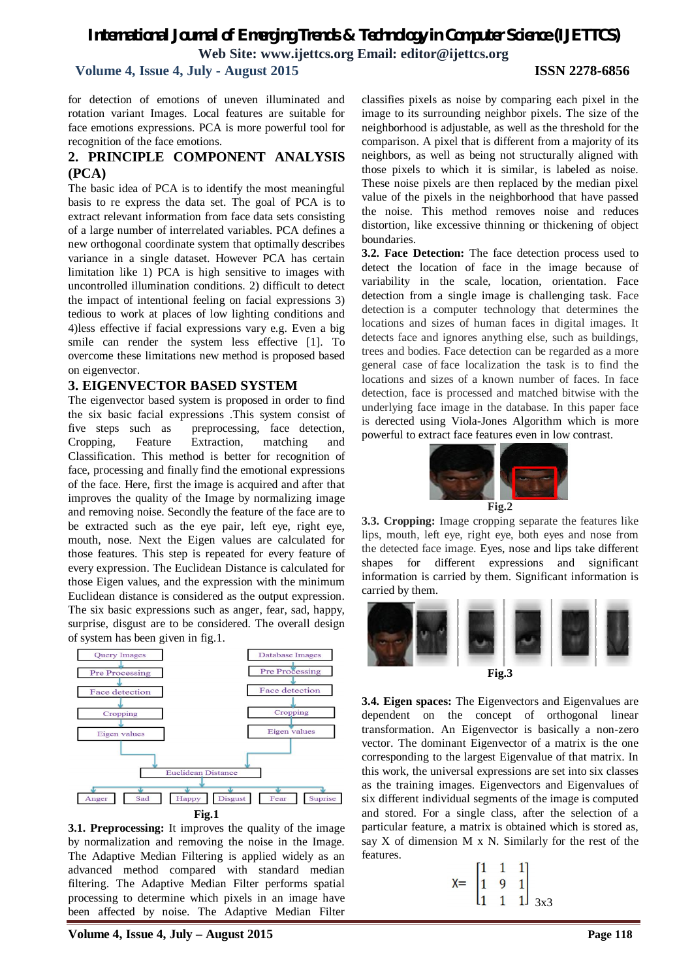**Volume 4, Issue 4, July - August 2015 ISSN 2278-6856**

for detection of emotions of uneven illuminated and rotation variant Images. Local features are suitable for face emotions expressions. PCA is more powerful tool for recognition of the face emotions.

## **2. PRINCIPLE COMPONENT ANALYSIS (PCA)**

The basic idea of PCA is to identify the most meaningful basis to re express the data set. The goal of PCA is to extract relevant information from face data sets consisting of a large number of interrelated variables. PCA defines a new orthogonal coordinate system that optimally describes variance in a single dataset. However PCA has certain limitation like 1) PCA is high sensitive to images with uncontrolled illumination conditions. 2) difficult to detect the impact of intentional feeling on facial expressions 3) tedious to work at places of low lighting conditions and 4)less effective if facial expressions vary e.g. Even a big smile can render the system less effective [1]. To overcome these limitations new method is proposed based on eigenvector.

## **3. EIGENVECTOR BASED SYSTEM**

The eigenvector based system is proposed in order to find the six basic facial expressions .This system consist of five steps such as preprocessing, face detection, Cropping, Feature Extraction, matching and Classification. This method is better for recognition of face, processing and finally find the emotional expressions of the face. Here, first the image is acquired and after that improves the quality of the Image by normalizing image and removing noise. Secondly the feature of the face are to be extracted such as the eye pair, left eye, right eye, mouth, nose. Next the Eigen values are calculated for those features. This step is repeated for every feature of every expression. The Euclidean Distance is calculated for those Eigen values, and the expression with the minimum Euclidean distance is considered as the output expression. The six basic expressions such as anger, fear, sad, happy, surprise, disgust are to be considered. The overall design of system has been given in fig.1.



**3.1. Preprocessing:** It improves the quality of the image by normalization and removing the noise in the Image. The Adaptive Median Filtering is applied widely as an advanced method compared with standard median filtering. The Adaptive Median Filter performs spatial processing to determine which pixels in an image have been affected by noise. The Adaptive Median Filter

classifies pixels as noise by comparing each pixel in the image to its surrounding neighbor pixels. The size of the neighborhood is adjustable, as well as the threshold for the comparison. A pixel that is different from a majority of its neighbors, as well as being not structurally aligned with those pixels to which it is similar, is labeled as noise. These noise pixels are then replaced by the median pixel value of the pixels in the neighborhood that have passed the noise. This method removes noise and reduces distortion, like excessive thinning or thickening of object boundaries.

**3.2. Face Detection:** The face detection process used to detect the location of face in the image because of variability in the scale, location, orientation. Face detection from a single image is challenging task. Face detection is a computer technology that determines the locations and sizes of human faces in digital images. It detects face and ignores anything else, such as buildings, trees and bodies. Face detection can be regarded as a more general case of face localization the task is to find the locations and sizes of a known number of faces. In face detection, face is processed and matched bitwise with the underlying face image in the database. In this paper face is derected using Viola-Jones Algorithm which is more powerful to extract face features even in low contrast.



**3.3. Cropping:** Image cropping separate the features like lips, mouth, left eye, right eye, both eyes and nose from the detected face image. Eyes, nose and lips take different shapes for different expressions and significant information is carried by them. Significant information is carried by them.



**3.4. Eigen spaces:** The Eigenvectors and Eigenvalues are dependent on the concept of orthogonal linear transformation. An Eigenvector is basically a non-zero vector. The dominant Eigenvector of a matrix is the one corresponding to the largest Eigenvalue of that matrix. In this work, the universal expressions are set into six classes as the training images. Eigenvectors and Eigenvalues of six different individual segments of the image is computed and stored. For a single class, after the selection of a particular feature, a matrix is obtained which is stored as, say  $X$  of dimension  $M \times N$ . Similarly for the rest of the features.

$$
X = \begin{bmatrix} 1 & 1 & 1 \\ 1 & 9 & 1 \\ 1 & 1 & 1 \end{bmatrix}_{3x3}
$$

**Volume 4, Issue 4, July – August 2015 Page 118**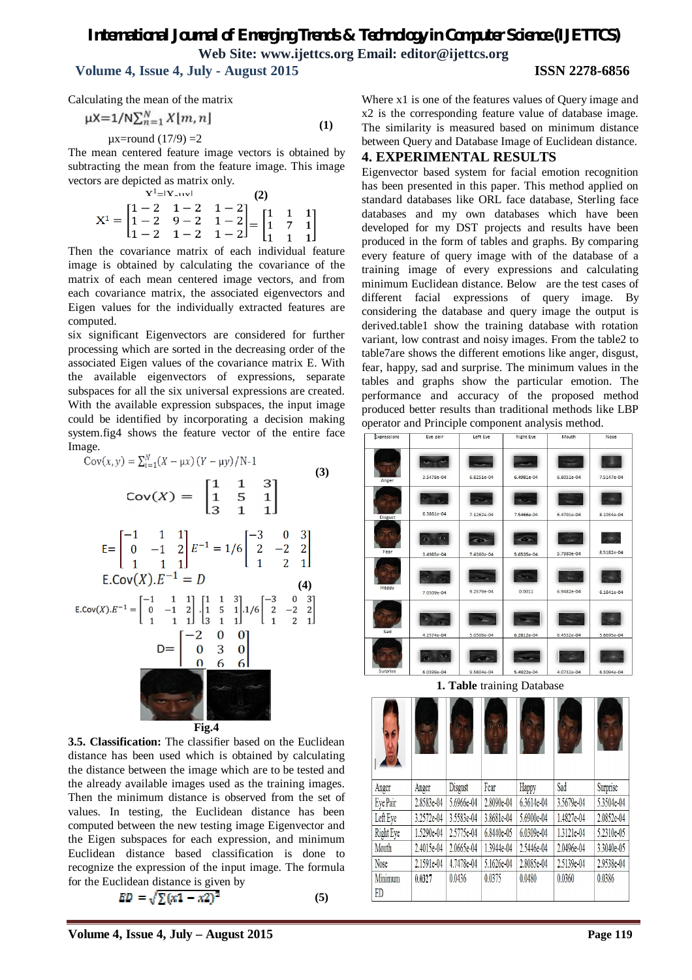## **Volume 4, Issue 4, July - August 2015 ISSN 2278-6856**

Calculating the mean of the matrix

$$
\mu X = 1/N \sum_{n=1}^{N} X[m, n]
$$
  
\n
$$
\mu X = \text{round}(17/9) = 2
$$
 (1)

The mean centered feature image vectors is obtained by subtracting the mean from the feature image. This image vectors are depicted as matrix only.

| $X^1 -  X_{-1}x $ |  |  |                                                                                                                                                                          |  |  |  |  |
|-------------------|--|--|--------------------------------------------------------------------------------------------------------------------------------------------------------------------------|--|--|--|--|
|                   |  |  | $\mathbf{X}^1 = \begin{bmatrix} 1-2 & 1-2 & 1-2 \\ 1-2 & 9-2 & 1-2 \\ 1-2 & 1-2 & 1-2 \end{bmatrix} = \begin{bmatrix} 1 & 1 & 1 \\ 1 & 7 & 1 \\ 1 & 1 & 1 \end{bmatrix}$ |  |  |  |  |

Then the covariance matrix of each individual feature image is obtained by calculating the covariance of the matrix of each mean centered image vectors, and from each covariance matrix, the associated eigenvectors and Eigen values for the individually extracted features are computed.

six significant Eigenvectors are considered for further processing which are sorted in the decreasing order of the associated Eigen values of the covariance matrix E. With the available eigenvectors of expressions, separate subspaces for all the six universal expressions are created. With the available expression subspaces, the input image could be identified by incorporating a decision making system.fig4 shows the feature vector of the entire face Image.

$$
Cov(x,y) = \sum_{i=1}^{N} (X - \mu x) (Y - \mu y) / N - 1
$$
\n
$$
Cov(X) = \begin{bmatrix} 1 & 1 & 3 \\ 1 & 5 & 1 \\ 3 & 1 & 1 \end{bmatrix}
$$
\n
$$
E = \begin{bmatrix} -1 & 1 & 1 \\ 0 & -1 & 2 \\ 1 & 1 & 1 \end{bmatrix} E^{-1} = 1/6 \begin{bmatrix} -3 & 0 & 3 \\ 2 & -2 & 2 \\ 1 & 2 & 1 \end{bmatrix}
$$
\n
$$
E(Cov(X).E^{-1} = D \qquad (4)
$$
\n
$$
E(Cov(X).E^{-1} = \begin{bmatrix} -1 & 1 & 1 \\ 0 & -1 & 2 \\ 1 & 1 & 1 \end{bmatrix} \begin{bmatrix} 1 & 1 & 3 \\ 1 & 5 & 1 \\ 3 & 1 & 1 \end{bmatrix} \cdot 1/6 \begin{bmatrix} -3 & 0 & 3 \\ 2 & -2 & 2 \\ 1 & 2 & 1 \end{bmatrix}
$$
\n
$$
D = \begin{bmatrix} -2 & 0 & 0 \\ 0 & 3 & 0 \\ 0 & 6 & 6 \end{bmatrix}
$$
\n
$$
E = \begin{bmatrix} -2 & 0 & 0 \\ 0 & 3 & 0 \\ 0 & 6 & 6 \end{bmatrix}
$$
\n
$$
E = \begin{bmatrix} -2 & 0 & 0 \\ 0 & 3 & 0 \\ 0 & 6 & 6 \end{bmatrix}
$$

**3.5. Classification:** The classifier based on the Euclidean distance has been used which is obtained by calculating the distance between the image which are to be tested and the already available images used as the training images. Then the minimum distance is observed from the set of values. In testing, the Euclidean distance has been computed between the new testing image Eigenvector and the Eigen subspaces for each expression, and minimum Euclidean distance based classification is done to recognize the expression of the input image. The formula for the Euclidean distance is given by

$$
ED = \sqrt{\sum (x1 - x2)^2} \tag{5}
$$

Where x1 is one of the features values of Query image and x2 is the corresponding feature value of database image. The similarity is measured based on minimum distance between Query and Database Image of Euclidean distance.

### **4. EXPERIMENTAL RESULTS**

Eigenvector based system for facial emotion recognition has been presented in this paper. This method applied on standard databases like ORL face database, Sterling face databases and my own databases which have been developed for my DST projects and results have been produced in the form of tables and graphs. By comparing every feature of query image with of the database of a training image of every expressions and calculating minimum Euclidean distance. Below are the test cases of different facial expressions of query image. By considering the database and query image the output is derived.table1 show the training database with rotation variant, low contrast and noisy images. From the table2 to table7are shows the different emotions like anger, disgust, fear, happy, sad and surprise. The minimum values in the tables and graphs show the particular emotion. The performance and accuracy of the proposed method produced better results than traditional methods like LBP operator and Principle component analysis method.

| Expressions      | Eye pair                      | Left Eye                    | <b>Right Eye</b>          | Mouth                   | Nose                 |
|------------------|-------------------------------|-----------------------------|---------------------------|-------------------------|----------------------|
| Anger            | 3.5478e-04                    | 6.8251e-04                  | æ.<br>6.4981e-04          | 6.8051e-04              | 7.5147e-04           |
| Disgust          | <b>Security</b><br>6.3861e-04 | 7.1262e-04                  | <b>STAR</b><br>7.5466e-04 | 6.4701e-04              | 8.1034e-04           |
| -6<br>o,<br>Fear | o<br>3.4985e-04               | $\rightarrow$<br>7.4360e-04 | $\sim$<br>5.6535e-04      | 5.7980e-04              | $-100$<br>8.5182e-04 |
| Happy            | sis.<br>7.0509e-04            | 9.2579e-04                  | 0.0011                    | 6.9482e-04              | $6.1641e-04$         |
| Sad              | 4.2574e-04                    | 5.0506e-04                  | 6.2812e-04                | 6.4532e-04              | 5.8695e-04           |
| Surprise         | 6.0399e-04                    | 9.5604e-04                  | 5.4922e-04                | <b>SA</b><br>4.0732e-04 | 6.3094e-04           |

**1. Table** training Database

| Anger            | Anger      | <b>Disgust</b> | Fear       | Happy      | Sad        | Surprise   |
|------------------|------------|----------------|------------|------------|------------|------------|
| Eye Pair         | 2.8583e-04 | 5.6966e-04     | 2.8090e-04 | 6.3614e-04 | 3.5679e-04 | 5.3504e-04 |
| Left Eye         | 3.2572e-04 | 3.5583e-04     | 3.8681e-04 | 5.6900e-04 | 1.4827e-04 | 2.0852e-04 |
| <b>Right Eye</b> | 1.5290e-04 | 2.5775e-04     | 6.8440e-05 | 6.0309e-04 | 1.3121e-04 | 5.2310e-05 |
| Mouth            | 2.4015e-04 | 2.0665e-04     | 1.3944e-04 | 2.5446e-04 | 2.0496e-04 | 3.3040e-05 |
| Nose             | 2.1591e-04 | 4.7478e-04     | 5.1626e-04 | 2.8085e-04 | 2.5139e-04 | 2.9538e-04 |
| Minimum<br>ED    | 0.0327     | 0.0436         | 0.0375     | 0.0480     | 0.0360     | 0.0386     |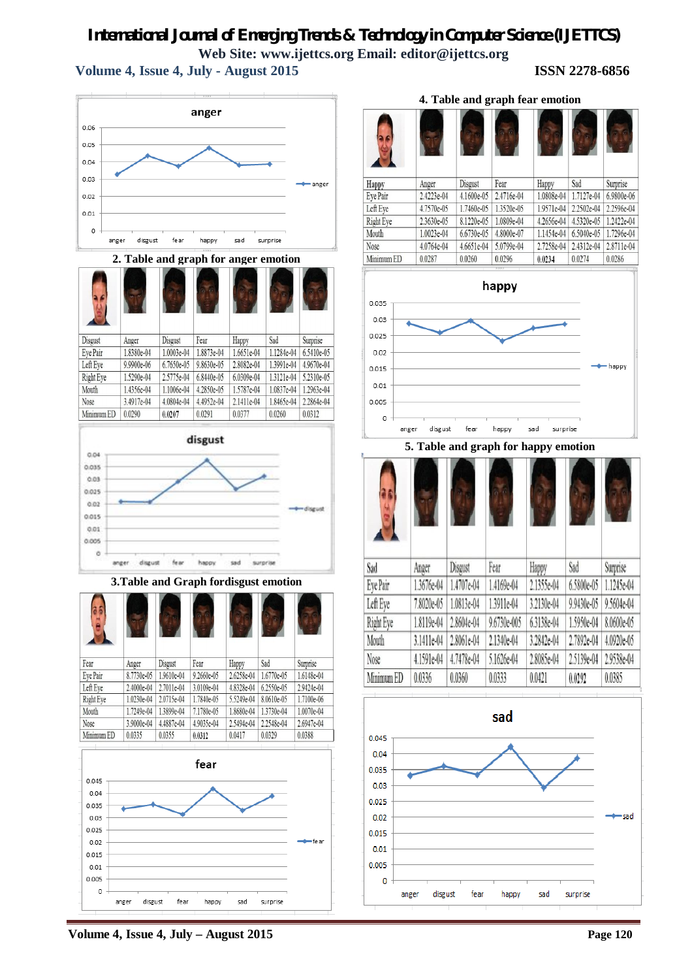## **Volume 4, Issue 4, July - August 2015 ISSN 2278-6856**



**2. Table and graph for anger emotion**

| Disgust    | Anger      | Disgust    | Fear       | Happy      | Sad        | Surprise   |
|------------|------------|------------|------------|------------|------------|------------|
| Eye Pair   | 1.8380e-04 | 1.0003e-04 | 1.8873e-04 | 1.6651e-04 | 1.1284e-04 | 6.5410e-05 |
| Left Eye   | 9.9900e-06 | 6.7650e-05 | 9.8630e-05 | 2.8082e-04 | 1.3991e-04 | 4.9670e-04 |
| Right Eye  | 1.5290e-04 | 2.5775e-04 | 6.8440e-05 | 6.0309e-04 | 1.3121e-04 | 5.2310e-05 |
| Mouth      | 1.4356e-04 | 1.1006e-04 | 4.2850e-05 | 1.5787e-04 | 1.0837e-04 | 1.2963e-04 |
| Nose       | 3.4917e-04 | 4.0804e-04 | 4.4952e-04 | 2.1411e-04 | 1.8465e-04 | 2.2864e-04 |
| Minimum ED | 0.0290     | 0.0207     | 0.0291     | 0.0377     | 0.0260     | 0.0312     |



## **3.Table and Graph fordisgust emotion**

| ш          |            |            |            |            |            |            |
|------------|------------|------------|------------|------------|------------|------------|
| Fear       | Anger      | Disgust    | Fear       | Happy      | Sad        | Surprise   |
| Eye Pair   | 8.7730e-05 | 1.9610e-04 | 9.2660e-05 | 2.6258e-04 | 1.6770e-05 | 1.6148e-04 |
| Left Eye   | 2.4000e-04 | 2.7011e-04 | 3.0109e-04 | 4.8328e-04 | 6.2550e-05 | 2.9424e-04 |
| Right Eye  | 1.0230e-04 | 2.0715e-04 | 1.7840e-05 | 5.5249e-04 | 8.0610e-05 | 1.7100e-06 |
| Mouth      | 1.7249e-04 | 1.3899e-04 | 7.1780e-05 | 1.8680e-04 | 1.3730e-04 | 1.0070e-04 |
| Nose       | 3.9000e-04 | 4.4887e-04 | 4.9035e-04 | 2.5494e-04 | 2.2548e-04 | 2.6947e-04 |
| Minimum ED | 0.0335     | 0.0355     | 0.0312     | 0.0417     | 0.0329     | 0.0388     |



Disgust Sad Happy Anger Fear Happy Surprise Eye Pair 2.4223e-04 4.1600e-05 2.4716e-04 1.0808e-04 1.7127e-04 6.9800e-06 Left Eye 4.7570e-05 1.7460e-05 1.3520e-05 1.9571e-04 2.2502e-04 2.2596e-04 **Right Eye** 2.3630e-05 8.1220e-05 1.0809e-04 4.2656e-04 4.5320e-05 1.2422e-04 1.0023e-04 1.1454e-04 6.5040e-05 1.7296e-04 Mouth 6.6730e-05 4.8000e-07 4.0764e-04 2.7258e-04 2.4312e-04 2.8711e-04 Nose 4.6651e-04 5.0799e-04

**4. Table and graph fear emotion**



**5. Table and graph for happy emotion**





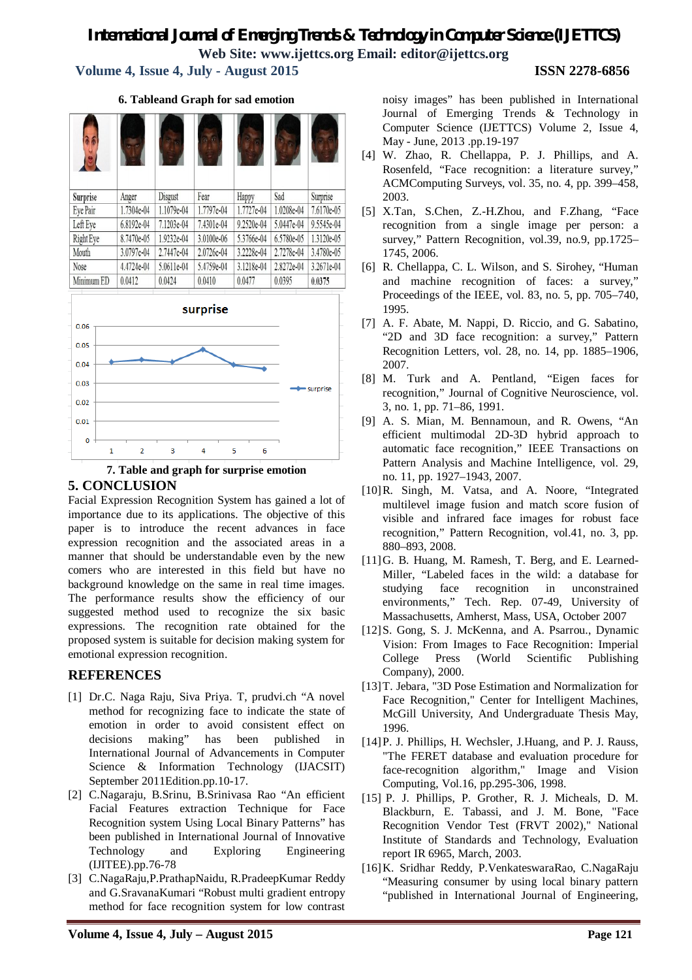## **Volume 4, Issue 4, July - August 2015 ISSN 2278-6856**

| Surprise                                     | Anger      | Disgust    | Fear       | Happy      | Sad        | Surprise   |
|----------------------------------------------|------------|------------|------------|------------|------------|------------|
| Eye Pair                                     | 1.7304e-04 | 1.1079e-04 | 1.7797e-04 | 1.7727e-04 | 1.0208e-04 | 7.6170e-05 |
| Left Eye                                     | 6.8192e-04 | 7.1203e-04 | 7.4301e-04 | 9.2520e-04 | 5.0447e-04 | 9.5545e-04 |
| Right Eye                                    | 8.7470e-05 | 1.9232e-04 | 3.0100e-06 | 5.3766e-04 | 6.5780e-05 | 1.3120e-05 |
| Mouth                                        | 3.0797e-04 | 2.7447e-04 | 2.0726e-04 | 3.2228e-04 | 2.7278e-04 | 3.4780e-05 |
| Nose                                         | 4.4724e-04 | 5.0611e-04 | 5.4759e-04 | 3.1218e-04 | 2.8272e-04 | 3.2671e-04 |
| Minimum ED                                   | 0.0412     | 0.0424     | 0.0410     | 0.0477     | 0.0395     | 0.0375     |
| 0.06<br>0.05<br>0.04<br>0.03<br>0.02<br>0.01 |            |            | surprise   |            |            | surprise   |
| o                                            |            |            |            |            |            |            |

**6. Tableand Graph for sad emotion**



5

6

 $\overline{\mathbf{3}}$ 

Facial Expression Recognition System has gained a lot of importance due to its applications. The objective of this paper is to introduce the recent advances in face expression recognition and the associated areas in a manner that should be understandable even by the new comers who are interested in this field but have no background knowledge on the same in real time images. The performance results show the efficiency of our suggested method used to recognize the six basic expressions. The recognition rate obtained for the proposed system is suitable for decision making system for emotional expression recognition.

## **REFERENCES**

- [1] Dr.C. Naga Raju, Siva Priya. T, prudvi.ch "A novel method for recognizing face to indicate the state of emotion in order to avoid consistent effect on decisions making" has been published in International Journal of Advancements in Computer Science & Information Technology (IJACSIT) September 2011Edition.pp.10-17.
- [2] C.Nagaraju, B.Srinu, B.Srinivasa Rao "An efficient Facial Features extraction Technique for Face Recognition system Using Local Binary Patterns" has been published in International Journal of Innovative Technology and Exploring Engineering (IJITEE).pp.76-78
- [3] C.NagaRaju,P.PrathapNaidu, R.PradeepKumar Reddy and G.SravanaKumari "Robust multi gradient entropy method for face recognition system for low contrast

noisy images" has been published in International Journal of Emerging Trends & Technology in Computer Science (IJETTCS) Volume 2, Issue 4, May - June, 2013 .pp.19-197

- [4] W. Zhao, R. Chellappa, P. J. Phillips, and A. Rosenfeld, "Face recognition: a literature survey," ACMComputing Surveys, vol. 35, no. 4, pp. 399–458, 2003.
- [5] X.Tan, S.Chen, Z.-H.Zhou, and F.Zhang, "Face recognition from a single image per person: a survey," Pattern Recognition, vol.39, no.9, pp.1725– 1745, 2006.
- [6] R. Chellappa, C. L. Wilson, and S. Sirohey, "Human and machine recognition of faces: a survey," Proceedings of the IEEE, vol. 83, no. 5, pp. 705–740, 1995.
- [7] A. F. Abate, M. Nappi, D. Riccio, and G. Sabatino, "2D and 3D face recognition: a survey," Pattern Recognition Letters, vol. 28, no. 14, pp. 1885–1906, 2007.
- [8] M. Turk and A. Pentland, "Eigen faces for recognition," Journal of Cognitive Neuroscience, vol. 3, no. 1, pp. 71–86, 1991.
- [9] A. S. Mian, M. Bennamoun, and R. Owens, "An efficient multimodal 2D-3D hybrid approach to automatic face recognition," IEEE Transactions on Pattern Analysis and Machine Intelligence, vol. 29, no. 11, pp. 1927–1943, 2007.
- [10]R. Singh, M. Vatsa, and A. Noore, "Integrated multilevel image fusion and match score fusion of visible and infrared face images for robust face recognition," Pattern Recognition, vol.41, no. 3, pp. 880–893, 2008.
- [11]G. B. Huang, M. Ramesh, T. Berg, and E. Learned-Miller, "Labeled faces in the wild: a database for studying face recognition in unconstrained environments," Tech. Rep. 07-49, University of Massachusetts, Amherst, Mass, USA, October 2007
- [12]S. Gong, S. J. McKenna, and A. Psarrou., Dynamic Vision: From Images to Face Recognition: Imperial College Press (World Scientific Publishing Company), 2000.
- [13]T. Jebara, "3D Pose Estimation and Normalization for Face Recognition," Center for Intelligent Machines, McGill University, And Undergraduate Thesis May, 1996.
- [14]P. J. Phillips, H. Wechsler, J.Huang, and P. J. Rauss, "The FERET database and evaluation procedure for face-recognition algorithm," Image and Vision Computing, Vol.16, pp.295-306, 1998.
- [15] P. J. Phillips, P. Grother, R. J. Micheals, D. M. Blackburn, E. Tabassi, and J. M. Bone, "Face Recognition Vendor Test (FRVT 2002)," National Institute of Standards and Technology, Evaluation report IR 6965, March, 2003.
- [16]K. Sridhar Reddy, P.VenkateswaraRao, C.NagaRaju "Measuring consumer by using local binary pattern "published in International Journal of Engineering,